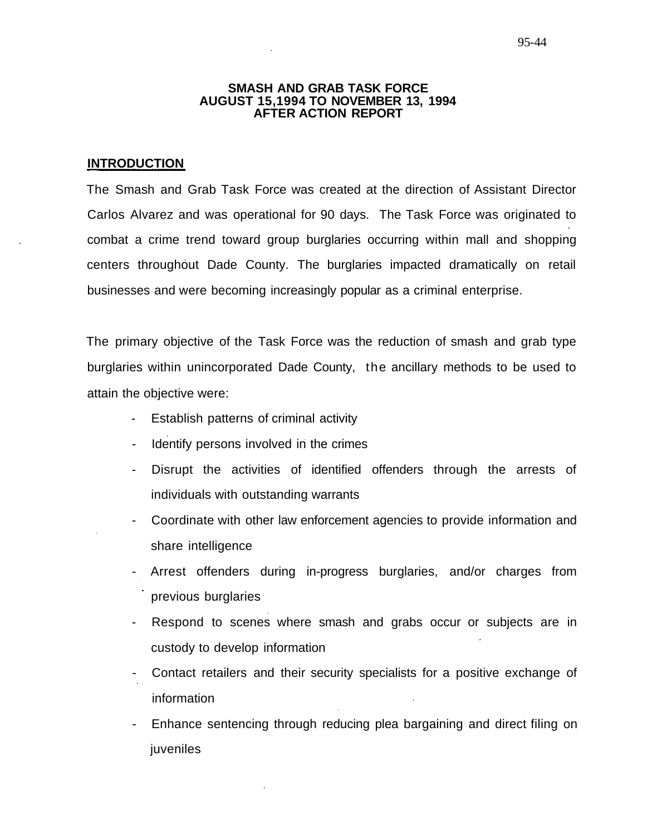### **SMASH AND GRAB TASK FORCE AUGUST 15,1994 TO NOVEMBER 13, 1994 AFTER ACTION REPORT**

# **INTRODUCTION**

The Smash and Grab Task Force was created at the direction of Assistant Director Carlos Alvarez and was operational for 90 days. The Task Force was originated to combat a crime trend toward group burglaries occurring within mall and shopping centers throughout Dade County. The burglaries impacted dramatically on retail businesses and were becoming increasingly popular as a criminal enterprise.

The primary objective of the Task Force was the reduction of smash and grab type burglaries within unincorporated Dade County, the ancillary methods to be used to attain the objective were:

- Establish patterns of criminal activity
- Identify persons involved in the crimes
- Disrupt the activities of identified offenders through the arrests of individuals with outstanding warrants
- Coordinate with other law enforcement agencies to provide information and share intelligence
- Arrest offenders during in-progress burglaries, and/or charges from previous burglaries
- Respond to scenes where smash and grabs occur or subjects are in custody to develop information
- Contact retailers and their security specialists for a positive exchange of information
- Enhance sentencing through reducing plea bargaining and direct filing on juveniles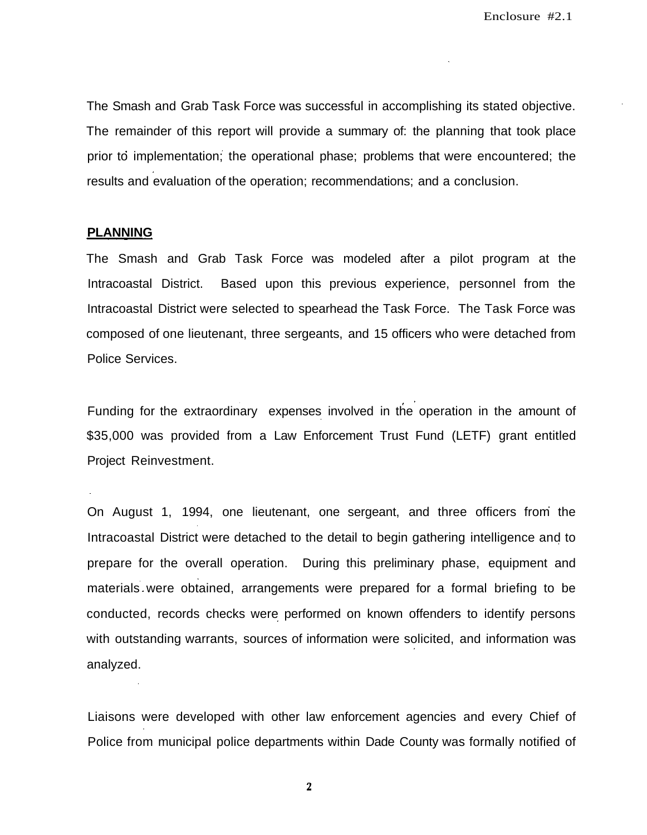The Smash and Grab Task Force was successful in accomplishing its stated objective. The remainder of this report will provide a summary of: the planning that took place prior to implementation; the operational phase; problems that were encountered; the results and evaluation of the operation; recommendations; and a conclusion.

# **PLANNING**

The Smash and Grab Task Force was modeled after a pilot program at the Intracoastal District. Based upon this previous experience, personnel from the Intracoastal District were selected to spearhead the Task Force. The Task Force was composed of one lieutenant, three sergeants, and 15 officers who were detached from Police Services.

Funding for the extraordinary expenses involved in the operation in the amount of \$35,000 was provided from a Law Enforcement Trust Fund (LETF) grant entitled Project Reinvestment.

On August 1, 1994, one lieutenant, one sergeant, and three officers from the Intracoastal District were detached to the detail to begin gathering intelligence and to prepare for the overall operation. During this preliminary phase, equipment and materials were obtained, arrangements were prepared for a formal briefing to be conducted, records checks were performed on known offenders to identify persons with outstanding warrants, sources of information were solicited, and information was analyzed.

Liaisons were developed with other law enforcement agencies and every Chief of Police from municipal police departments within Dade County was formally notified of

 $\mathbf{2}$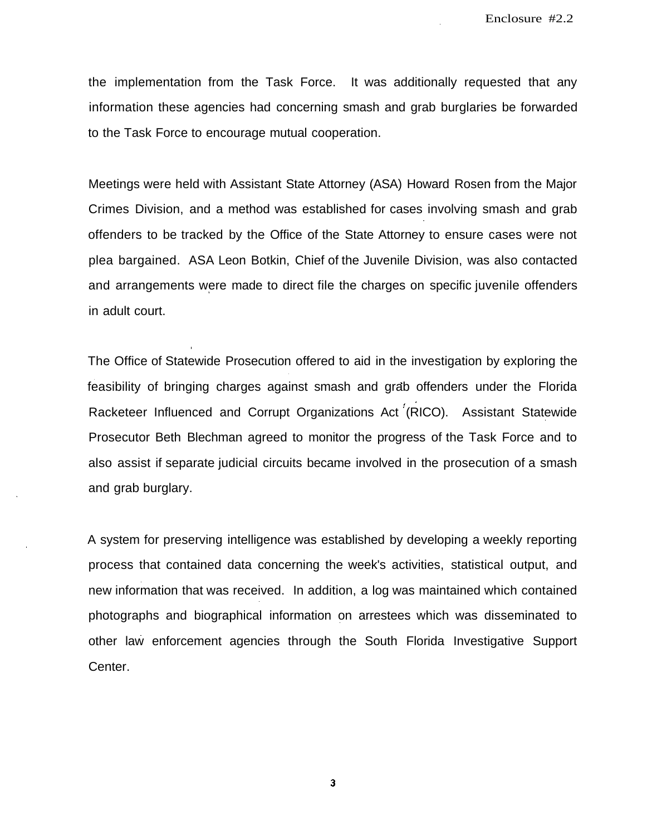the implementation from the Task Force. It was additionally requested that any information these agencies had concerning smash and grab burglaries be forwarded to the Task Force to encourage mutual cooperation.

Meetings were held with Assistant State Attorney (ASA) Howard Rosen from the Major Crimes Division, and a method was established for cases involving smash and grab offenders to be tracked by the Office of the State Attorney to ensure cases were not plea bargained. ASA Leon Botkin, Chief of the Juvenile Division, was also contacted and arrangements were made to direct file the charges on specific juvenile offenders in adult court.

The Office of Statewide Prosecution offered to aid in the investigation by exploring the feasibility of bringing charges against smash and grab offenders under the Florida Racketeer Influenced and Corrupt Organizations Act (RICO). Assistant Statewide Prosecutor Beth Blechman agreed to monitor the progress of the Task Force and to also assist if separate judicial circuits became involved in the prosecution of a smash and grab burglary.

A system for preserving intelligence was established by developing a weekly reporting process that contained data concerning the week's activities, statistical output, and new information that was received. In addition, a log was maintained which contained photographs and biographical information on arrestees which was disseminated to other law enforcement agencies through the South Florida Investigative Support Center.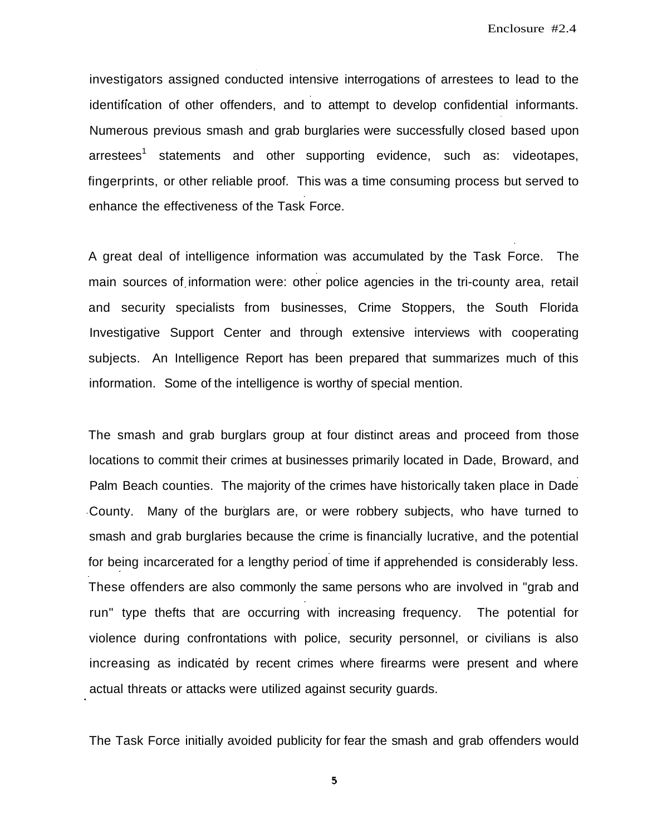Enclosure #2.4

investigators assigned conducted intensive interrogations of arrestees to lead to the identification of other offenders, and to attempt to develop confidential informants. Numerous previous smash and grab burglaries were successfully closed based upon arrestees<sup>1</sup> statements and other supporting evidence, such as: videotapes, fingerprints, or other reliable proof. This was a time consuming process but served to enhance the effectiveness of the Task Force.

A great deal of intelligence information was accumulated by the Task Force. The main sources of information were: other police agencies in the tri-county area, retail and security specialists from businesses, Crime Stoppers, the South Florida Investigative Support Center and through extensive interviews with cooperating subjects. An Intelligence Report has been prepared that summarizes much of this information. Some of the intelligence is worthy of special mention.

The smash and grab burglars group at four distinct areas and proceed from those locations to commit their crimes at businesses primarily located in Dade, Broward, and Palm Beach counties. The majority of the crimes have historically taken place in Dade County. Many of the burglars are, or were robbery subjects, who have turned to smash and grab burglaries because the crime is financially lucrative, and the potential for being incarcerated for a lengthy period of time if apprehended is considerably less. These offenders are also commonly the same persons who are involved in "grab and run" type thefts that are occurring with increasing frequency. The potential for violence during confrontations with police, security personnel, or civilians is also increasing as indicated by recent crimes where firearms were present and where actual threats or attacks were utilized against security guards.

The Task Force initially avoided publicity for fear the smash and grab offenders would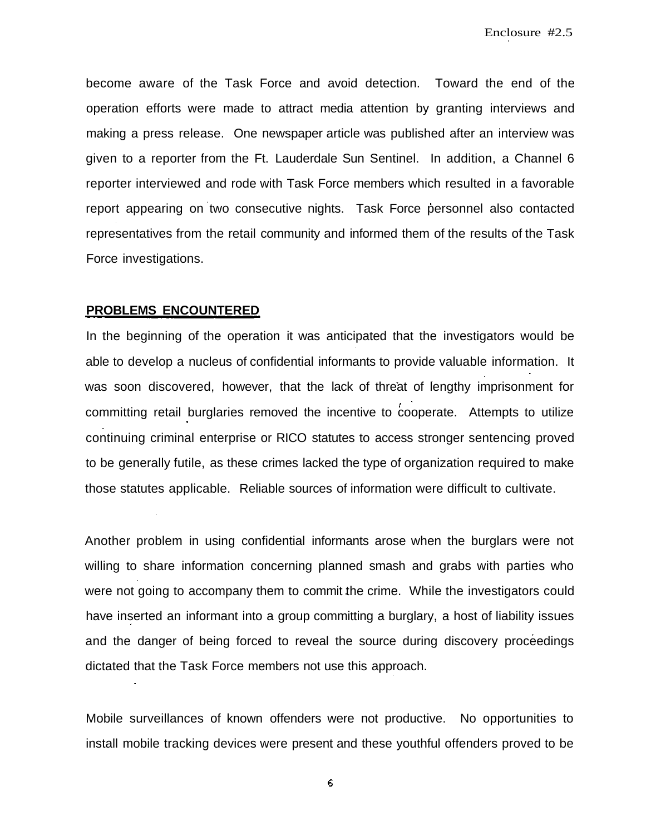become aware of the Task Force and avoid detection. Toward the end of the operation efforts were made to attract media attention by granting interviews and making a press release. One newspaper article was published after an interview was given to a reporter from the Ft. Lauderdale Sun Sentinel. In addition, a Channel 6 reporter interviewed and rode with Task Force members which resulted in a favorable report appearing on two consecutive nights. Task Force personnel also contacted representatives from the retail community and informed them of the results of the Task Force investigations.

## **PROBLEMS ENCOUNTERED**

In the beginning of the operation it was anticipated that the investigators would be able to develop a nucleus of confidential informants to provide valuable information. It was soon discovered, however, that the lack of threat of lengthy imprisonment for committing retail burglaries removed the incentive to  $\overline{c}$  cooperate. Attempts to utilize continuing criminal enterprise or RICO statutes to access stronger sentencing proved to be generally futile, as these crimes lacked the type of organization required to make those statutes applicable. Reliable sources of information were difficult to cultivate.

Another problem in using confidential informants arose when the burglars were not willing to share information concerning planned smash and grabs with parties who were not going to accompany them to commit the crime. While the investigators could have inserted an informant into a group committing a burglary, a host of liability issues and the danger of being forced to reveal the source during discovery proceedings dictated that the Task Force members not use this approach.

Mobile surveillances of known offenders were not productive. No opportunities to install mobile tracking devices were present and these youthful offenders proved to be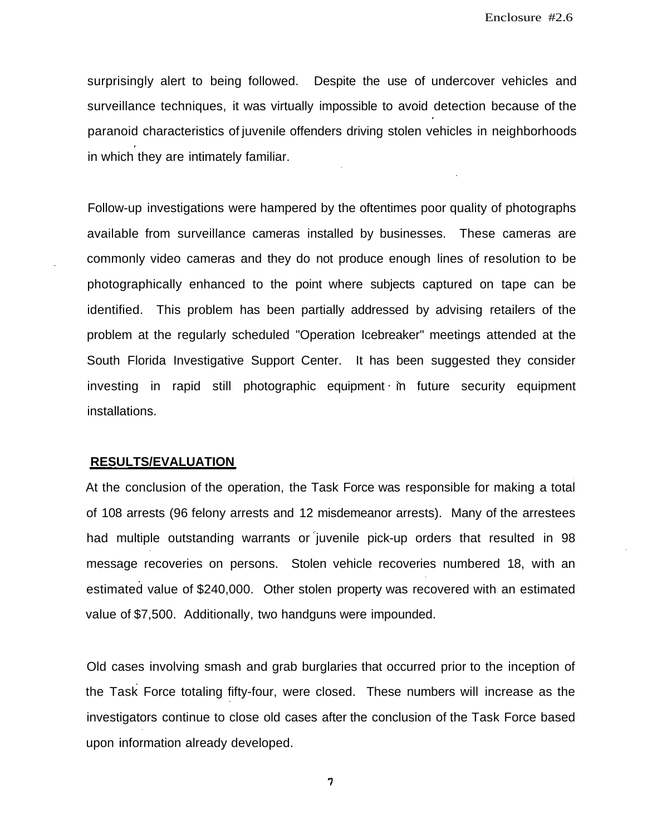surprisingly alert to being followed. Despite the use of undercover vehicles and surveillance techniques, it was virtually impossible to avoid detection because of the paranoid characteristics of juvenile offenders driving stolen vehicles in neighborhoods in which they are intimately familiar.

Follow-up investigations were hampered by the oftentimes poor quality of photographs available from surveillance cameras installed by businesses. These cameras are commonly video cameras and they do not produce enough lines of resolution to be photographically enhanced to the point where subjects captured on tape can be identified. This problem has been partially addressed by advising retailers of the problem at the regularly scheduled "Operation Icebreaker" meetings attended at the South Florida Investigative Support Center. It has been suggested they consider investing in rapid still photographic equipment in future security equipment installations.

### **RESULTS/EVALUATION**

At the conclusion of the operation, the Task Force was responsible for making a total of 108 arrests (96 felony arrests and 12 misdemeanor arrests). Many of the arrestees had multiple outstanding warrants or juvenile pick-up orders that resulted in 98 message recoveries on persons. Stolen vehicle recoveries numbered 18, with an estimated value of \$240,000. Other stolen property was recovered with an estimated value of \$7,500. Additionally, two handguns were impounded.

Old cases involving smash and grab burglaries that occurred prior to the inception of the Task Force totaling fifty-four, were closed. These numbers will increase as the investigators continue to close old cases after the conclusion of the Task Force based upon information already developed.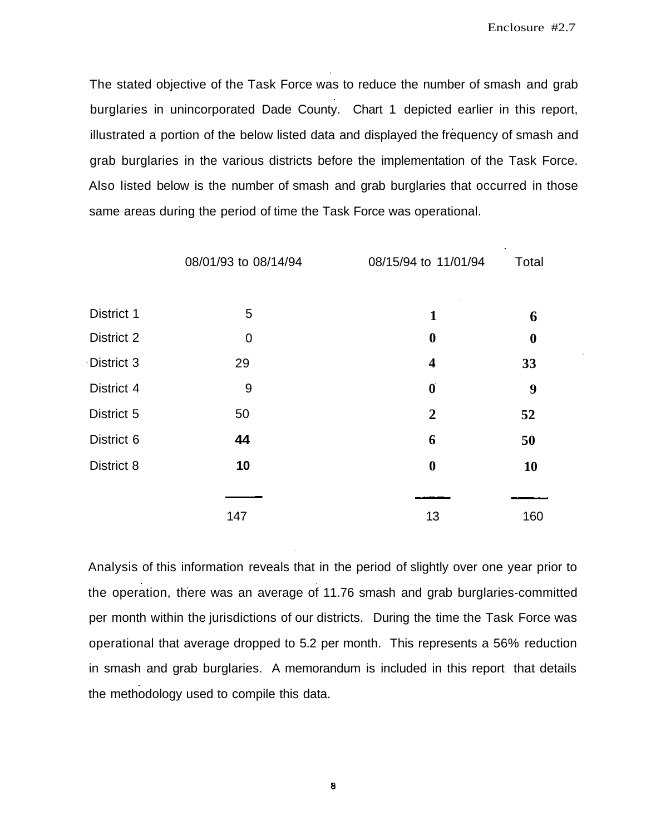The stated objective of the Task Force was to reduce the number of smash and grab burglaries in unincorporated Dade County. Chart 1 depicted earlier in this report, illustrated a portion of the below listed data and displayed the frequency of smash and grab burglaries in the various districts before the implementation of the Task Force. Also listed below is the number of smash and grab burglaries that occurred in those same areas during the period of time the Task Force was operational.

|            | 08/01/93 to 08/14/94 | 08/15/94 to 11/01/94    | Total            |  |
|------------|----------------------|-------------------------|------------------|--|
|            |                      |                         |                  |  |
| District 1 | 5                    | 1                       | 6                |  |
| District 2 | 0                    | $\boldsymbol{0}$        | $\boldsymbol{0}$ |  |
| District 3 | 29                   | $\overline{\mathbf{4}}$ | 33               |  |
| District 4 | 9                    | $\boldsymbol{0}$        | 9                |  |
| District 5 | 50                   | $\overline{2}$          | 52               |  |
| District 6 | 44                   | 6                       | 50               |  |
| District 8 | 10                   | $\boldsymbol{0}$        | 10               |  |
|            |                      |                         |                  |  |
|            | 147                  | 13                      | 160              |  |

Analysis of this information reveals that in the period of slightly over one year prior to the operation, there was an average of 11.76 smash and grab burglaries-committed per month within the jurisdictions of our districts. During the time the Task Force was operational that average dropped to 5.2 per month. This represents a 56% reduction in smash and grab burglaries. A memorandum is included in this report that details the methodology used to compile this data.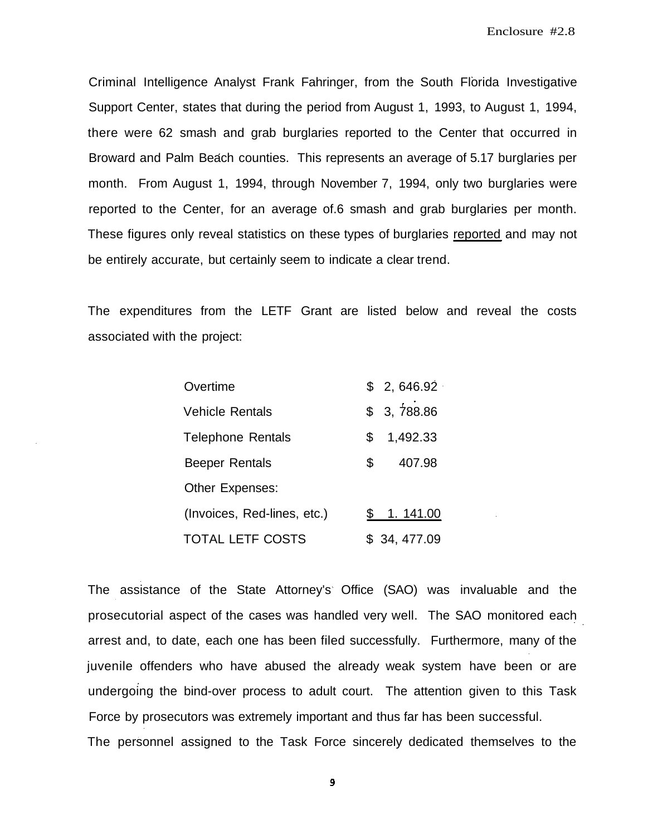Criminal Intelligence Analyst Frank Fahringer, from the South Florida Investigative Support Center, states that during the period from August 1, 1993, to August 1, 1994, there were 62 smash and grab burglaries reported to the Center that occurred in Broward and Palm Beach counties. This represents an average of 5.17 burglaries per month. From August 1, 1994, through November 7, 1994, only two burglaries were reported to the Center, for an average of.6 smash and grab burglaries per month. These figures only reveal statistics on these types of burglaries reported and may not be entirely accurate, but certainly seem to indicate a clear trend.

The expenditures from the LETF Grant are listed below and reveal the costs associated with the project:

| Overtime                    |     | \$2,646.92\$ |
|-----------------------------|-----|--------------|
| <b>Vehicle Rentals</b>      |     | \$3,788.86   |
| <b>Telephone Rentals</b>    | \$. | 1,492.33     |
| <b>Beeper Rentals</b>       | \$  | 407.98       |
| Other Expenses:             |     |              |
| (Invoices, Red-lines, etc.) |     | \$1.141.00   |
| <b>TOTAL LETF COSTS</b>     |     | \$34,477.09  |

The assistance of the State Attorney's Office (SAO) was invaluable and the prosecutorial aspect of the cases was handled very well. The SAO monitored each arrest and, to date, each one has been filed successfully. Furthermore, many of the juvenile offenders who have abused the already weak system have been or are undergoing the bind-over process to adult court. The attention given to this Task Force by prosecutors was extremely important and thus far has been successful. The personnel assigned to the Task Force sincerely dedicated themselves to the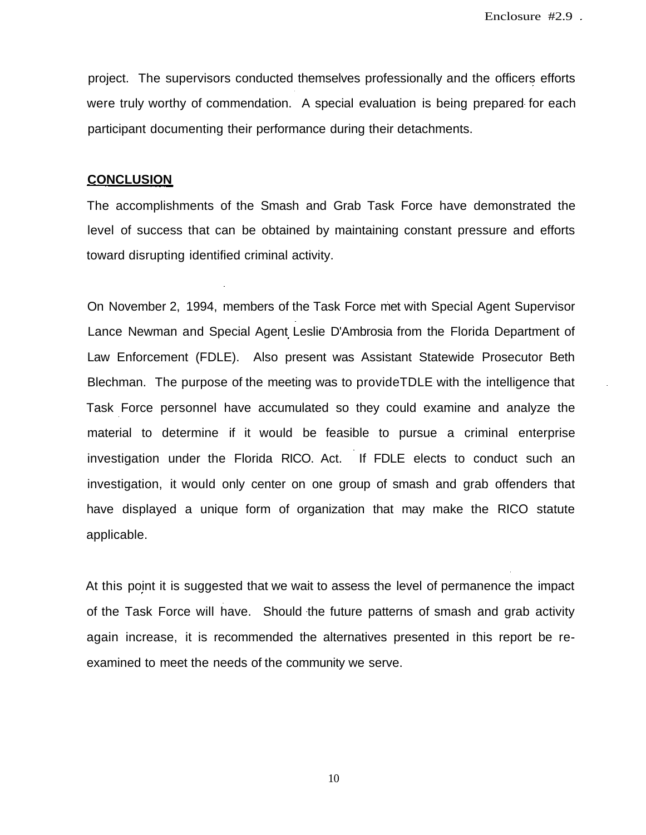project. The supervisors conducted themselves professionally and the officers efforts were truly worthy of commendation. A special evaluation is being prepared for each participant documenting their performance during their detachments.

## **CONCLUSION**

The accomplishments of the Smash and Grab Task Force have demonstrated the level of success that can be obtained by maintaining constant pressure and efforts toward disrupting identified criminal activity.

On November 2, 1994, members of the Task Force met with Special Agent Supervisor Lance Newman and Special Agent Leslie D'Ambrosia from the Florida Department of Law Enforcement (FDLE). Also present was Assistant Statewide Prosecutor Beth Blechman. The purpose of the meeting was to provideTDLE with the intelligence that Task Force personnel have accumulated so they could examine and analyze the material to determine if it would be feasible to pursue a criminal enterprise investigation under the Florida RICO. Act. If FDLE elects to conduct such an investigation, it would only center on one group of smash and grab offenders that have displayed a unique form of organization that may make the RICO statute applicable.

At this point it is suggested that we wait to assess the level of permanence the impact of the Task Force will have. Should the future patterns of smash and grab activity again increase, it is recommended the alternatives presented in this report be reexamined to meet the needs of the community we serve.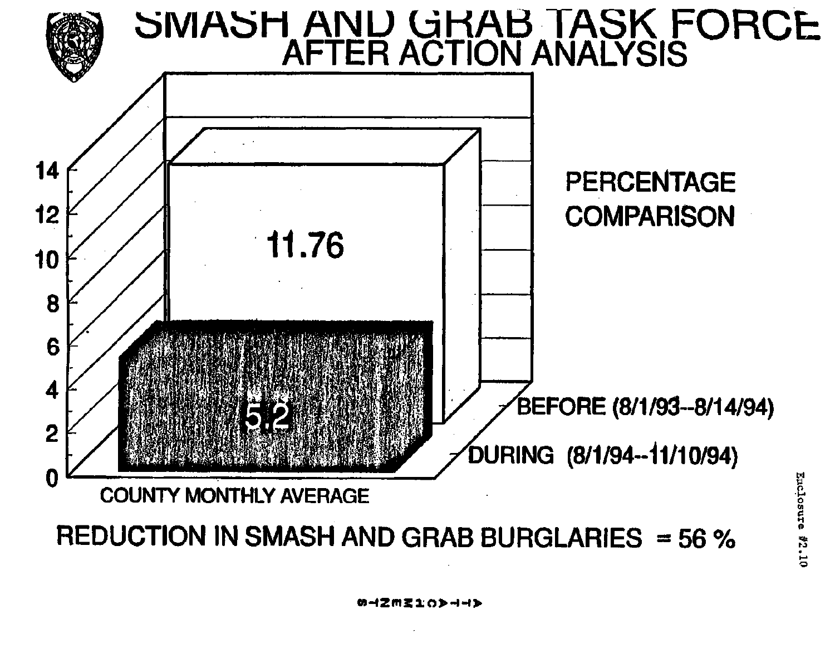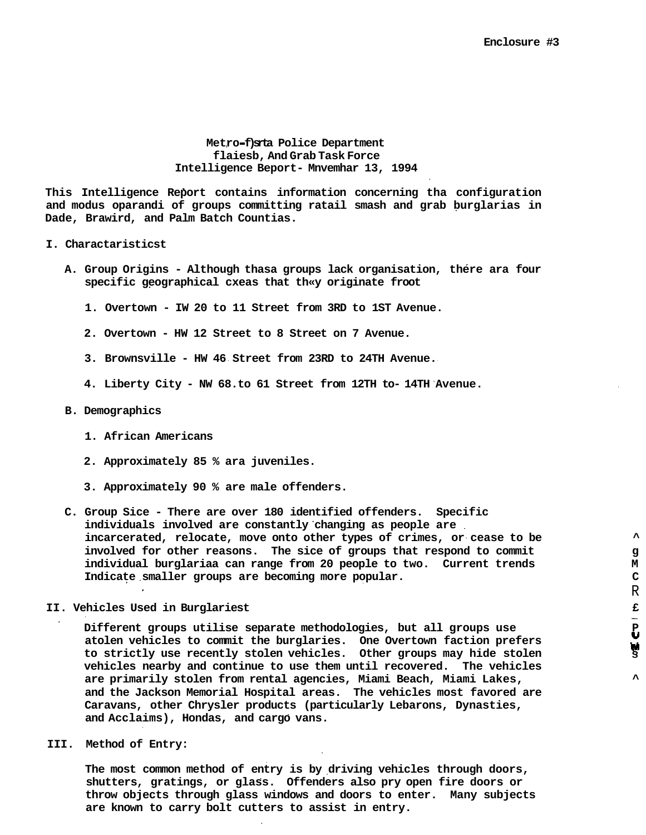R

**Metro f)srta Police Department flaiesb, And Grab Task Force Intelligence Beport- Mnvemhar 13, 1994**

**This Intelligence Report contains information concerning tha configuration and modus oparandi of groups committing ratail smash and grab burglarias in Dade, Brawird, and Palm Batch Countias.**

#### **I. Charactaristicst**

- **A. Group Origins Although thasa groups lack organisation, there ara four specific geographical cxeas that th«y originate froot**
	- **1. Overtown IW 20 to 11 Street from 3RD to 1ST Avenue.**
	- **2. Overtown HW 12 Street to 8 Street on 7 Avenue.**
	- **3. Brownsville HW 46 Street from 23RD to 24TH Avenue.**
	- **4. Liberty City NW 68.to 61 Street from 12TH to- 14TH Avenue.**

#### **B. Demographics**

- **1. African Americans**
- **2. Approximately 85 % ara juveniles.**
- **3. Approximately 90 % are male offenders.**
- **C. Group Sice There are over 180 identified offenders. Specific individuals involved are constantly changing as people are incarcerated, relocate, move onto other types of crimes, or cease to be ^ involved for other reasons. The sice of groups that respond to commit g individual burglariaa can range from 20 people to two. Current trends M Indicate smaller groups are becoming more popular. C**

**II. Vehicles Used in Burglariest £ Different groups utilise separate methodologies, but all groups use P** atolen vehicles to commit the burglaries. One Overtown faction prefers **... ... ... ...**<br>to strictly use recently stolen vehicles. Other groups may hide stolen ... ... ... **to strictly use recently stolen vehicles. Other groups may hide stolen § vehicles nearby and continue to use them until recovered. The vehicles are primarily stolen from rental agencies, Miami Beach, Miami Lakes, ^ and the Jackson Memorial Hospital areas. The vehicles most favored are Caravans, other Chrysler products (particularly Lebarons, Dynasties, and Acclaims), Hondas, and cargo vans.**

**III. Method of Entry:**

**The most common method of entry is by driving vehicles through doors, shutters, gratings, or glass. Offenders also pry open fire doors or throw objects through glass windows and doors to enter. Many subjects are known to carry bolt cutters to assist in entry.**